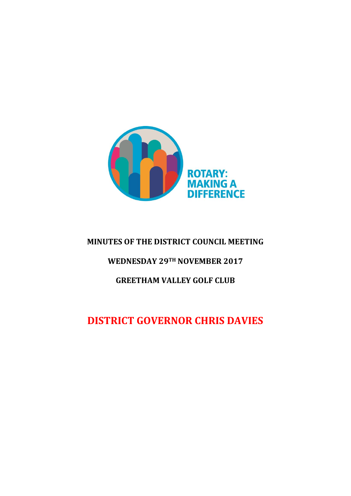

# **MINUTES OF THE DISTRICT COUNCIL MEETING**

# **WEDNESDAY 29TH NOVEMBER 2017**

# **GREETHAM VALLEY GOLF CLUB**

# **DISTRICT GOVERNOR CHRIS DAVIES**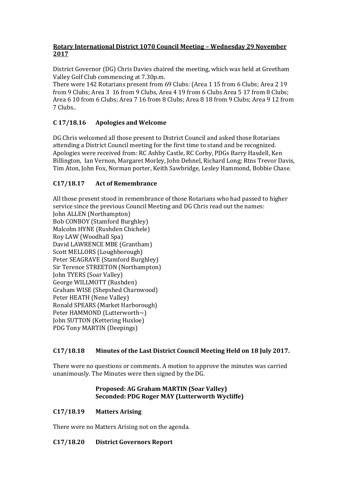# **Rotary International District 1070 Council Meeting – Wednesday 29 November 2017**

District Governor (DG) Chris Davies chaired the meeting, which was held at Greetham Valley Golf Club commencing at 7.30p.m.

There were 142 Rotarians present from 69 Clubs: (Area 1 15 from 6 Clubs; Area 2 19 from 9 Clubs; Area 3 16 from 9 Clubs, Area 4 19 from 6 Clubs Area 5 17 from 8 Clubs; Area 6 10 from 6 Clubs; Area 7 16 from 8 Clubs; Area 8 18 from 9 Clubs; Area 9 12 from 7 Clubs..

# **C 17/18.16 Apologies and Welcome**

DG Chris welcomed all those present to District Council and asked those Rotarians attending a District Council meeting for the first time to stand and be recognized. Apologies were received from: RC Ashby Castle, RC Corby, PDGs Barry Hasdell, Ken Billington, Ian Vernon, Margaret Morley, John Dehnel, Richard Long; Rtns Trevor Davis, Tim Aton, John Fox, Norman porter, Keith Sawbridge, Lesley Hammond, Bobbie Chase.

# **C17/18.17 Act of Remembrance**

All those present stood in remembrance of those Rotarians who had passed to higher service since the previous Council Meeting and DG Chris read out the names: John ALLEN (Northampton) Bob CONBOY (Stamford Burghley) Malcolm HYNE (Rushden Chichele) Roy LAW (Woodhall Spa) David LAWRENCE MBE (Grantham) Scott MELLORS (Loughborough) Peter SEAGRAVE (Stamford Burghley) Sir Terence STREETON (Northampton) John TYERS (Soar Valley) George WILLMOTT (Rushden) Graham WISE (Shepshed Charnwood) Peter HEATH (Nene Valley) Ronald SPEARS (Market Harborough) Peter HAMMOND (Lutterworth~) John SUTTON (Kettering Huxloe) PDG Tony MARTIN (Deepings)

## **C17/18.18 Minutes of the Last District Council Meeting Held on 18 July 2017.**

There were no questions or comments. A motion to approve the minutes was carried unanimously. The Minutes were then signed by the DG.

## **Proposed: AG Graham MARTIN (Soar Valley) Seconded: PDG Roger MAY (Lutterworth Wycliffe)**

## **C17/18.19 Matters Arising**

There were no Matters Arising not on the agenda.

## **C17/18.20 District Governors Report**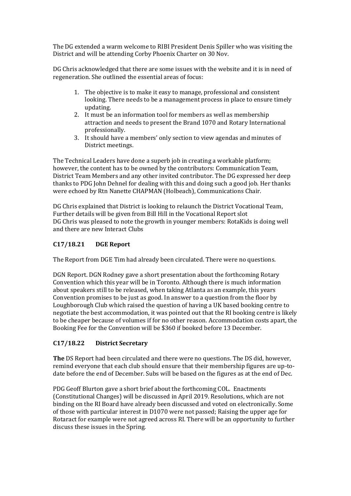The DG extended a warm welcome to RIBI President Denis Spiller who was visiting the District and will be attending Corby Phoenix Charter on 30 Nov.

DG Chris acknowledged that there are some issues with the website and it is in need of regeneration. She outlined the essential areas of focus:

- 1. The objective is to make it easy to manage, professional and consistent looking. There needs to be a management process in place to ensure timely updating.
- 2. It must be an information tool for members as well as membership attraction and needs to present the Brand 1070 and Rotary International professionally.
- 3. It should have a members' only section to view agendas and minutes of District meetings.

The Technical Leaders have done a superb job in creating a workable platform; however, the content has to be owned by the contributors: Communication Team, District Team Members and any other invited contributor. The DG expressed her deep thanks to PDG John Dehnel for dealing with this and doing such a good job. Her thanks were echoed by Rtn Nanette CHAPMAN (Holbeach), Communications Chair.

DG Chris explained that District is looking to relaunch the District Vocational Team, Further details will be given from Bill Hill in the Vocational Report slot DG Chris was pleased to note the growth in younger members: RotaKids is doing well and there are new Interact Clubs

# **C17/18.21 DGE Report**

The Report from DGE Tim had already been circulated. There were no questions.

DGN Report. DGN Rodney gave a short presentation about the forthcoming Rotary Convention which this year will be in Toronto. Although there is much information about speakers still to be released, when taking Atlanta as an example, this years Convention promises to be just as good. In answer to a question from the floor by Loughborough Club which raised the question of having a UK based booking centre to negotiate the best accommodation, it was pointed out that the RI booking centre is likely to be cheaper because of volumes if for no other reason. Accommodation costs apart, the Booking Fee for the Convention will be \$360 if booked before 13 December.

# **C17/18.22 District Secretary**

**The** DS Report had been circulated and there were no questions. The DS did, however, remind everyone that each club should ensure that their membership figures are up-todate before the end of December. Subs will be based on the figures as at the end of Dec.

PDG Geoff Blurton gave a short brief about the forthcoming COL. Enactments (Constitutional Changes) will be discussed in April 2019. Resolutions, which are not binding on the RI Board have already been discussed and voted on electronically. Some of those with particular interest in D1070 were not passed; Raising the upper age for Rotaract for example were not agreed across RI. There will be an opportunity to further discuss these issues in the Spring.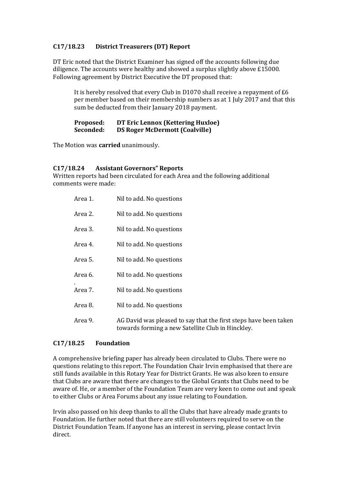# **C17/18.23 District Treasurers (DT) Report**

DT Eric noted that the District Examiner has signed off the accounts following due diligence. The accounts were healthy and showed a surplus slightly above £15000. Following agreement by District Executive the DT proposed that:

It is hereby resolved that every Club in D1070 shall receive a repayment of £6 per member based on their membership numbers as at 1 July 2017 and that this sum be deducted from their January 2018 payment.

#### **Proposed: DT Eric Lennox (Kettering Huxloe) Seconded: DS Roger McDermott (Coalville)**

The Motion was **carried** unanimously.

#### **C17/18.24 Assistant Governors" Reports**

Written reports had been circulated for each Area and the following additional comments were made:

| Area 1. | Nil to add. No questions                                                                                              |
|---------|-----------------------------------------------------------------------------------------------------------------------|
| Area 2. | Nil to add. No questions                                                                                              |
| Area 3. | Nil to add. No questions                                                                                              |
| Area 4. | Nil to add. No questions                                                                                              |
| Area 5. | Nil to add. No questions                                                                                              |
| Area 6. | Nil to add. No questions                                                                                              |
| Area 7. | Nil to add. No questions                                                                                              |
| Area 8. | Nil to add. No questions                                                                                              |
| Area 9. | AG David was pleased to say that the first steps have been taken<br>towards forming a new Satellite Club in Hinckley. |

## **C17/18.25 Foundation**

A comprehensive briefing paper has already been circulated to Clubs. There were no questions relating to this report. The Foundation Chair Irvin emphasised that there are still funds available in this Rotary Year for District Grants. He was also keen to ensure that Clubs are aware that there are changes to the Global Grants that Clubs need to be aware of. He, or a member of the Foundation Team are very keen to come out and speak to either Clubs or Area Forums about any issue relating to Foundation.

Irvin also passed on his deep thanks to all the Clubs that have already made grants to Foundation. He further noted that there are still volunteers required to serve on the District Foundation Team. If anyone has an interest in serving, please contact Irvin direct.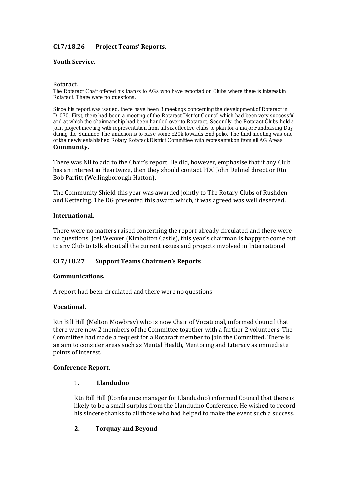# **C17/18.26 Project Teams' Reports.**

## **Youth Service.**

#### Rotaract.

The Rotaract Chair offered his thanks to AGs who have reported on Clubs where there is interest in Rotaract. There were no questions.

Since his report was issued, there have been 3 meetings concerning the development of Rotaract in D1070. First, there had been a meeting of the Rotaract District Council which had been very successful and at which the chairmanship had been handed over to Rotaract. Secondly, the Rotaract Clubs held a joint project meeting with representation from all six effective clubs to plan for a major Fundraising Day during the Summer. The ambition is to raise some £20k towards End polio. The third meeting was one of the newly established Rotary Rotaract District Committee with representation from all AG Areas **Community**.

There was Nil to add to the Chair's report. He did, however, emphasise that if any Club has an interest in Heartwize, then they should contact PDG John Dehnel direct or Rtn Bob Parfitt (Wellingborough Hatton).

The Community Shield this year was awarded jointly to The Rotary Clubs of Rushden and Kettering. The DG presented this award which, it was agreed was well deserved.

#### **International.**

There were no matters raised concerning the report already circulated and there were no questions. Joel Weaver (Kimbolton Castle), this year's chairman is happy to come out to any Club to talk about all the current issues and projects involved in International.

## **C17/18.27 Support Teams Chairmen's Reports**

#### **Communications.**

A report had been circulated and there were no questions.

#### **Vocational**.

Rtn Bill Hill (Melton Mowbray) who is now Chair of Vocational, informed Council that there were now 2 members of the Committee together with a further 2 volunteers. The Committee had made a request for a Rotaract member to join the Committed. There is an aim to consider areas such as Mental Health, Mentoring and Literacy as immediate points of interest.

#### **Conference Report.**

#### 1**. Llandudno**

Rtn Bill Hill (Conference manager for Llandudno) informed Council that there is likely to be a small surplus from the Llandudno Conference. He wished to record his sincere thanks to all those who had helped to make the event such a success.

#### **2. Torquay and Beyond**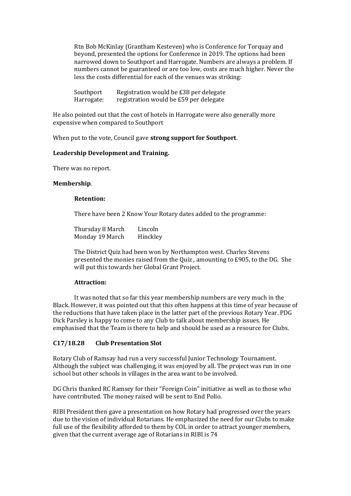Rtn Bob McKinlay (Grantham Kesteven) who is Conference for Torquay and beyond, presented the options for Conference in 2019. The options had been narrowed down to Southport and Harrogate. Numbers are always a problem. If numbers cannot be guaranteed or are too low, costs are much higher. Never the less the costs differential for each of the venues was striking:

| Southport  | Registration would be £38 per delegate |
|------------|----------------------------------------|
| Harrogate: | registration would be £59 per delegate |

He also pointed out that the cost of hotels in Harrogate were also generally more expensive when compared to Southport

When put to the vote, Council gave **strong support for Southport**.

#### **Leadership Development and Training.**

There was no report.

#### **Membership**.

#### **Retention:**

There have been 2 Know Your Rotary dates added to the programme:

| Thursday 8 March | Lincoln  |
|------------------|----------|
| Monday 19 March  | Hinckley |

The District Quiz had been won by Northampton west. Charles Stevens presented the monies raised from the Quiz , amounting to £905, to the DG. She will put this towards her Global Grant Project.

#### **Attraction:**

It was noted that so far this year membership numbers are very much in the Black. However, it was pointed out that this often happens at this time of year because of the reductions that have taken place in the latter part of the previous Rotary Year. PDG Dick Parsley is happy to come to any Club to talk about membership issues. He emphasised that the Team is there to help and should be used as a resource for Clubs.

## **C17/18.28 Club Presentation Slot**

Rotary Club of Ramsay had run a very successful Junior Technology Tournament. Although the subject was challenging, it was enjoyed by all. The project was run in one school but other schools in villages in the area want to be involved.

DG Chris thanked RC Ramsey for their "Foreign Coin" initiative as well as to those who have contributed. The money raised will be sent to End Polio.

RIBI President then gave a presentation on how Rotary had progressed over the years due to the vision of individual Rotarians. He emphasized the need for our Clubs to make full use of the flexibility afforded to them by COL in order to attract younger members, given that the current average age of Rotarians in RIBI is 74